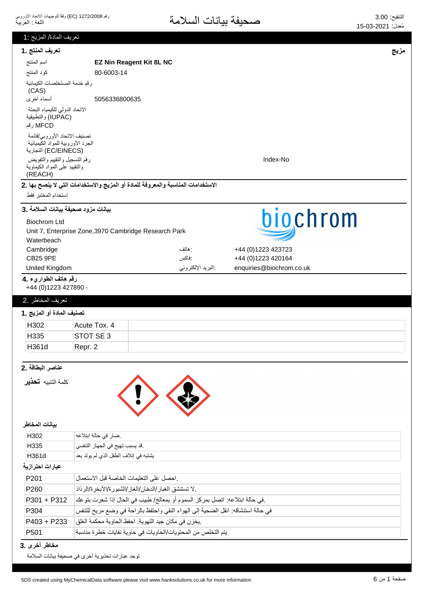|                                                                                           | <u>تعريف المادة/ المزيج :1</u>                                                                                       |      |
|-------------------------------------------------------------------------------------------|----------------------------------------------------------------------------------------------------------------------|------|
| تعريف المنتج .1                                                                           |                                                                                                                      | مزيج |
| اسم المنتج                                                                                | <b>EZ Nin Reagent Kit 8L NC</b>                                                                                      |      |
| كود المنتج                                                                                | 80-6003-14                                                                                                           |      |
| رقم خدمة المستخلصات الكيمائية<br>(CAS)<br>أسماء أخرى                                      | 5056336800635                                                                                                        |      |
| الاتحاد الدولى للكيمياء البحتة<br>(IUPAC) والتطبيقية<br>MFCD رقم                          |                                                                                                                      |      |
| تصنيف الاتحاد الأوروبي/قائمة<br>الجرد الأوروبية للمواد الكيميائية<br>(EC/EINECS) التجارية |                                                                                                                      |      |
| رقم التسجيل والتقييم والتفويض<br>والنقييد على المواد الكيماوية<br>(REACH)                 | Index-No                                                                                                             |      |
|                                                                                           | الاستخدامات المناسبة والمعروفة للمادة أو المزيج والاستخدامات التي لا ينصح بها .2                                     |      |
| استخدام المختبر فقط                                                                       |                                                                                                                      |      |
| بيانات مزود صحيفة بيانات السلامة .3                                                       |                                                                                                                      |      |
| <b>Biochrom Ltd</b>                                                                       | biochrom                                                                                                             |      |
|                                                                                           | Unit 7, Enterprise Zone, 3970 Cambridge Research Park                                                                |      |
| Waterbeach                                                                                |                                                                                                                      |      |
| Cambridge                                                                                 | +44 (0)1223 423723<br>: هاتف                                                                                         |      |
| <b>CB25 9PE</b>                                                                           | :فاكس<br>+44 (0)1223 420164                                                                                          |      |
| United Kingdom                                                                            | البريد الإلكتروني<br>enquiries@biochrom.co.uk                                                                        |      |
| رقم هاتف الطواريء .4<br>+44 (0)1223 427890 -                                              |                                                                                                                      |      |
|                                                                                           |                                                                                                                      |      |
| تعريف المخاطر .2                                                                          |                                                                                                                      |      |
| تصنيف المادة أو المزيج .1                                                                 |                                                                                                                      |      |
| H302                                                                                      | Acute Tox. 4                                                                                                         |      |
|                                                                                           |                                                                                                                      |      |
| H335                                                                                      | STOT SE 3                                                                                                            |      |
| H361d                                                                                     | Repr. 2                                                                                                              |      |
| عناصر البطاقة .2                                                                          |                                                                                                                      |      |
| كلمة التنبيه <b>تحذير</b>                                                                 |                                                                                                                      |      |
| بيانات المخاطر                                                                            |                                                                                                                      |      |
| H302                                                                                      |                                                                                                                      |      |
| H335                                                                                      | ضار في حالة ابتلاعه                                                                                                  |      |
| H361d                                                                                     | .قد يسبب تهيج في الجهاز التنفسي<br>يشتبه في إتلاف الطفل الذي لم يولد بعد                                             |      |
| عبارات احترازية                                                                           |                                                                                                                      |      |
|                                                                                           |                                                                                                                      |      |
| P201                                                                                      | احصل على النعليمات الخاصة قبل الاستعمال                                                                              |      |
| P <sub>260</sub>                                                                          | . لا تستنشق الغبار /الدخان/الغاز /الشبور ة/الأبخر ة/الرذاذ                                                           |      |
| P301 + P312                                                                               | في حالة ابتلاعه: اتصل بمركز السموم أو بمعالج/ طبيب في الحال إذا شعرت بتوعك                                           |      |
| P304                                                                                      | في حالة استنشاقه: انقل الضحية إلى الهواء النقي واحتفظ بالراحة في وضع مريح للتنفس                                     |      |
| P403 + P233<br>P <sub>501</sub>                                                           | .يخزن في مكان جيد التهوية. احفظ الحاوية محكمة الغلق <br>يتم التخلص من المحتويات/الحاويات في حاوية نفايات خطرة مناسبة |      |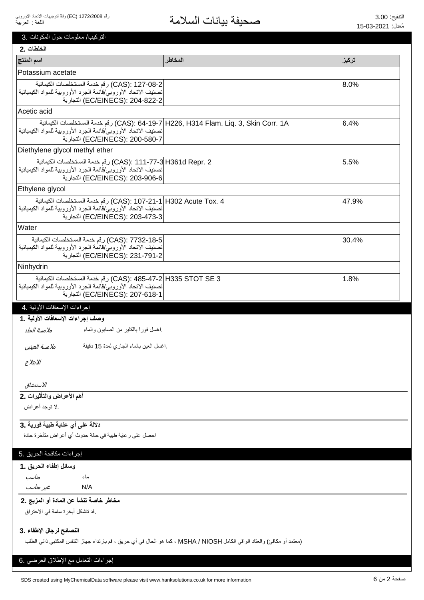3. التركيب/ معلومات حول المكونات

| الخلطات .2                                                                                                                        |                                                                                                                           |       |
|-----------------------------------------------------------------------------------------------------------------------------------|---------------------------------------------------------------------------------------------------------------------------|-------|
| اسم المنتج                                                                                                                        | المخاطر                                                                                                                   | تركيز |
| Potassium acetate                                                                                                                 |                                                                                                                           |       |
| CAS): 127-08-2) رقم خدمة المستخلصات الكيمائية                                                                                     |                                                                                                                           | 8.0%  |
| تصنيف الاتحاد الأوروبي/فائمة الجرد الأوروبية للمواد الكيميائية<br>EC/EINECS): 204-822-2) التجارية                                 |                                                                                                                           |       |
| Acetic acid                                                                                                                       |                                                                                                                           |       |
|                                                                                                                                   | CAS): 64-19-7 H226, H314 Flam. Liq. 3, Skin Corr. 1A) رقم خدمة المستخلصات الكيمائية                                       | 6.4%  |
| تصنيف الاتحاد الأوروبي/قائمة الجرد الأوروبية للمواد الكيميائية                                                                    |                                                                                                                           |       |
| EC/EINECS): 200-580-7) التجارية                                                                                                   |                                                                                                                           |       |
| Diethylene glycol methyl ether<br>CAS): 111-77-3 H361d Repr. 2) رقم خدمة المستخلصات الكيمائية                                     |                                                                                                                           | 5.5%  |
| تصنيف الاتحاد الأوروبي/قائمة الجرد الأوروبية للمواد الكيميائية                                                                    |                                                                                                                           |       |
| EC/EINECS): 203-906-6) التجارية                                                                                                   |                                                                                                                           |       |
| Ethylene glycol                                                                                                                   |                                                                                                                           |       |
| 4 .CAS): 107-21-1 H302 Acute Tox) رقم خدمة المستخلصات الكيمائية<br>تصنيف الاتحاد الأوروبي/قائمة الجرد الأوروبية للمواد الكيميائية |                                                                                                                           | 47.9% |
| (EC/EINECS): 203-473-3) التجارية                                                                                                  |                                                                                                                           |       |
| Water                                                                                                                             |                                                                                                                           |       |
| CAS): 7732-18-5) رقم خدمة المستخلصات الكيمانية                                                                                    |                                                                                                                           | 30.4% |
| تصنيف الاتحاد الأوروبي/قائمة الجرد الأوروبية للمواد الكيميائية<br>EC/EINECS): 231-791-2) التجارية                                 |                                                                                                                           |       |
| Ninhydrin                                                                                                                         |                                                                                                                           |       |
| CAS): 485-47-2 H335 STOT SE 3) رقم خدمة المستخلصات الكيمائية                                                                      |                                                                                                                           | 1.8%  |
| تصنيف الاتحاد الأوروبي/قائمة الجرد الأوروبية للمواد الكيميائية                                                                    |                                                                                                                           |       |
| EC/EINECS): 207-618-1) التجارية                                                                                                   |                                                                                                                           |       |
| إجراءات الإسعافات الأولية .4                                                                                                      |                                                                                                                           |       |
| وصف إجراءات الإسعافات الأولية .1                                                                                                  |                                                                                                                           |       |
| اغسل فورأ بالكثير من الصابون والماء<br>ملامسة الجلد                                                                               |                                                                                                                           |       |
| ملامسة العينين<br>اغسل العين بالماء الجاري لمدة 15 دقيقة                                                                          |                                                                                                                           |       |
| الابتلاع                                                                                                                          |                                                                                                                           |       |
|                                                                                                                                   |                                                                                                                           |       |
| الاستنشاق                                                                                                                         |                                                                                                                           |       |
| أهم الأعراض والتأثيرات .2                                                                                                         |                                                                                                                           |       |
| .لا توجد أعراض                                                                                                                    |                                                                                                                           |       |
|                                                                                                                                   |                                                                                                                           |       |
| دلالة على أي عناية طبية فورية .3                                                                                                  |                                                                                                                           |       |
| احصل على رعاية طبية في حالة حدوث أي أعراض متأخرة حادة                                                                             |                                                                                                                           |       |
| إجراءات مكافحة الحريق .5                                                                                                          |                                                                                                                           |       |
| وسائل إطفاء الحريق .1                                                                                                             |                                                                                                                           |       |
| مناسب<br>ماء                                                                                                                      |                                                                                                                           |       |
| غیر مناسب<br>N/A                                                                                                                  |                                                                                                                           |       |
| مخاطر خاصة تنشأ عن المادة أو المزيج .2                                                                                            |                                                                                                                           |       |
| .قد تتشكل أبخرة سامة في الاحتراق                                                                                                  |                                                                                                                           |       |
|                                                                                                                                   |                                                                                                                           |       |
| النصائح لرجال الإطفاء .3                                                                                                          |                                                                                                                           |       |
|                                                                                                                                   | (معتمد أو مكافئ) والعتاد الواقي الكامل MSHA / NIOSH ، كما هو الحال في أي حريق ، قم بارتداء جهاز التنفس المكتبي ذاتي الطلب |       |
| إجراءات التعامل مع الإطلاق العرضي .6                                                                                              |                                                                                                                           |       |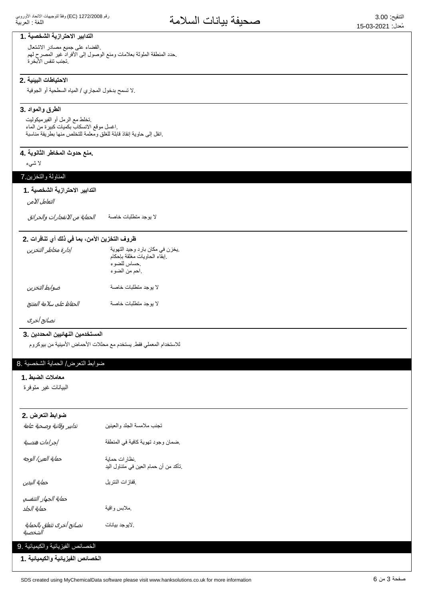## التدابير الاحترازية الشخصية .1

القضاء على جميع مصادر الاشتعال حدد المنطقة الملوثة بعلامات ومنع الوصول إلى الأفراد غير المصرح لهم. ِ تجنب تنفس الأبخر ة

#### الاحتياطات البيئية .2

لا تسمح بدخول المجاري / المياه السطحية أو الجوفية.

#### **الطرق والمواد 3.**

تخلط مع الرمل أو الفيرميكوليت اغسل موقع الانسكاب بكميات كبيرة من الماء .انقل إلى حاوية إنقاذ قابلة للغلق ومعلمة للتخلص منها بطريقة مناسبة

## ـ منـع حدوث المخاطر الثانويـ<sup>ة</sup>.

لا شىء

#### المناولة والتخزين 7

#### التدابير الاحترازية الشخصية . **1**

التعامل الآمن

لا يوجد منطلبات خاصـة *الحماية من الانفجار ات والحرائق* 

#### ظروف التخزين الآمن، بما في ذلك أي تنافرات .2

| إدارة مخاطر التخزين     | يخزن في مكان بارد وجيد التهوية.<br>إبقاء الحاويات مغلقة بإحكام<br>حساس للضوء<br>احم من الضوء |
|-------------------------|----------------------------------------------------------------------------------------------|
| ضوابط التخزين           | لا بوجد متطلبات خاصة                                                                         |
| الحفاظ على سلامة المنتج | لا بوجد متطلبات خاصة                                                                         |

نصائح أخرى

#### المستخدمين النهائيين المحددين .3

للاستخدام المعملي فقط. يستخدم مع محللات الأحماض الأمينية من بيوكروم

#### ضوابط التعرض/ الحماية الشخصية .8

#### معاملات الضبط .1

البيانات غير متوفرة

| ضوابط التعرض .2<br>تدابير وقائية وصحية عامة | تجنب ملامسة الجلد والعينين            |
|---------------------------------------------|---------------------------------------|
| إجراءات هندسية                              | ضمان وجود تهوية كافية في المنطقة      |
| حماية العين/ الوجه                          | نظارات حماية                          |
|                                             | ناكد من أن حمام العين في مُتناول اليد |
| حماية اليدين                                | ففازات النتريل                        |
| حماية الجهاز التنفسي                        |                                       |
| حماية الجلد                                 | ملابس واقية                           |
| نصائح أخرى تتعلق بالحماية<br>الشخصية        | .لايوجد بيانات                        |
| الخصائص الفيزيائية والكيميائية .9           |                                       |
| الخصائص الفيزيائية والكيميائية .1           |                                       |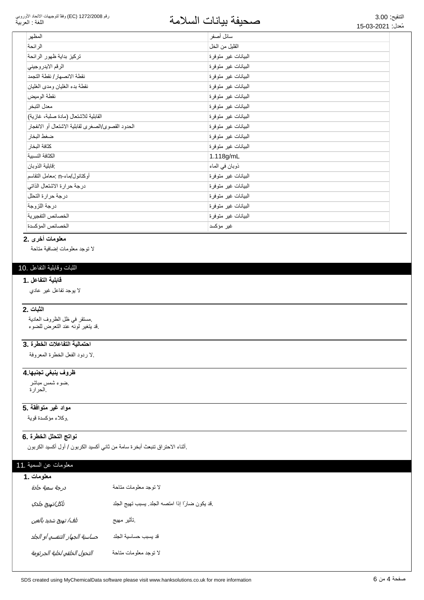## التنقيع: 3.00<br>مُزار: 2021 03 15 مجموعة المسلامة

| المظهر                                            | سائل أصفر            |
|---------------------------------------------------|----------------------|
| الرائحة                                           | القليل من الخل       |
| تركيز بداية ظهور الرائحة                          | البيانات غير متوفرة  |
| الرقم الايدر وجيني                                | البيانات غير متوفرة  |
| نقطة الانصهار / نقطة التجمد                       | الىبيانات غير متوفرة |
| نقطة بدء الغليان ومدى الغليان                     | البيانات غير متوفرة  |
| نقطة الوميض                                       | الىبيانات غير متوفرة |
| معدل التبخر                                       | البيانات غير متوفرة  |
| القابلية للاشتعال (مادة صلبة، غازية)              | الىبيانات غير متوفرة |
| الحدود القصوى/الصغرى لقابلية الاشتعال أو الانفجار | البيانات غير متوفرة  |
| ضغط البخار                                        | البيانات غير متوفرة  |
| كثافة البخار                                      | البيانات غير متوفرة  |
| الكثافة النسبية                                   | 1.118g/mL            |
| فابلية الذوبان                                    | ذوبان في الماء       |
| أوكتانول/ماء-n :معامل التقاسم                     | البيانات غير متوفرة  |
| درجة حرارة الاشتعال الذاتي                        | الىبيانات غير متوفرة |
| درجة حرارة التحلل                                 | البيانات غير متوفرة  |
| در جة اللز وجة                                    | البيانات غير متوفرة  |
| الخصائص التفجيرية                                 | البيانات غير متوفرة  |
| الخصائص المؤكسدة                                  | غیر مؤکسد            |

#### معلومات أخرى .2

لا نوجد معلومات إضافية متاحة

## الثبات وقابلية التفاعل .10

#### قابلية التفاعل .1

لا بوجد تفاعل غیر عادي

#### **الثبات .2**

مستقر في ظل الظروف العادية فد بنغير لونه عند النعرض للضوء

## احتمالية التفاعلات الخطرة .3

لا ردود الفعل الخطرة المعروفة

## <del>ظروف ينبغى تجنبها 4</del>

ضوء شمس مباشر الحرارة.

#### <mark>5. مواد غير متوافقة</mark>

وكلاء مؤكسدة قوية

#### نواتج التحلل الخطرة .6

إأثناء الاحتراق تنبعث أبخرة سامة من ثاني أكسيد الكربون / أول أكسيد الكربون

## معلومات عن السمية .11

| معلومات . 1                    |                                                |  |
|--------------------------------|------------------------------------------------|--|
| درجة سمية حادة                 | لا توجد معلومات متاحة                          |  |
| تآكل/تهيج جلدي                 | قد يكون ضارًا إذا امتصه الجلد. يسبب تهيج الجلد |  |
| تلف/ تهيج شديد بالعين          | نأثير مهيج                                     |  |
| حساسية الجهاز التنفسي أو الجلد | قد يسبب حساسية الجلد                           |  |
| التحول الخلقي لخلية الجرثومة   | لا نوجد معلومات متاحة                          |  |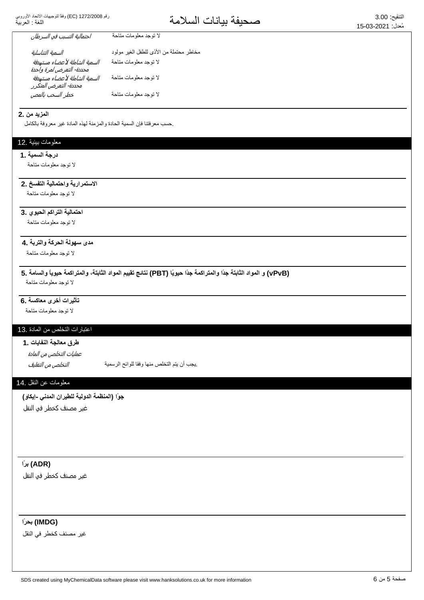التنفع: 3.00<br>مُزار: 2021 15.03 عه

| احتمالية التسبب في السرطان    | لا توجد معلومات متاحة                   |
|-------------------------------|-----------------------------------------|
| السمية التناسلية              | مخاطر محتملة من الأذي للطفل الغير مولود |
| السمية الشاملة لأعضاء مستهدفة | لا نوجد معلومات متاحة                   |
| محددة- التعرض لمرة واحدة      |                                         |
| السمية الشاملة لأعضاء مستهدفة | لا نوجد معلومات متاحة                   |
| محددة- التعرض المتكرر         |                                         |
| خطر السحب بالمص               | لا توجد معلومات متاحة                   |

#### **المزيد من 2.**

حسب معر فتنا فإن السمية الحادة والمز منة لهذه المادة غير معر وفة بالكامل

#### معلومات بيئية .12

#### **درجة السمية .1**

لا توجد معلومات متاحة

#### الاستمرارية واحتمالية التفسخ .2

لا توجد معلومات متاحة

## ا**حتمالية التراكم الحيوي .3**

لا توجد معلومات متاحة

## مدى سهولة الحركة والتربة **.4**

لا توجد معلومات متاحة

**5. ΔϣΎγϟϭ˱ΎϳϭϳΣΔϣϛέΗϣϟϭˬΔΗΑΎΛϟΩϭϣϟϡϳϳϘΗΞΎΗϧ (PBT) Ύ˱ϳϭϳΣ˱ΩΟΔϣϛέΗϣϟϭ˱ΩΟΔΗΑΎΛϟΩϭϣϟϭ (vPvB)** لا توجد معلومات متاحة

## <mark>تأثيرات أخ</mark>رى معاكسة .6

لا توجد معلومات متاحة

## 13. اعتبارات التخلص من المادة

طرق معالجة النفايا*ت* .1

عمليات التخلص من المادة

ͮ௬Ͼ̲௪̺͙ͳ̻ͧϾ̞௪̺͙ ΔϳϣγέϟϭϠϟΎϘϓϭΎϬϧϣιϠΧΗϟϡΗϳϥΏΟϳ.

#### معلومات عن النقل .14

جوًا (المنظمة الدولية للطيرا*ن المدنى -إيكاو)* 

غير مصنف كخطر في النقل

## **˱έΑ (ADR)**

غير مصنف كخطر في النقل

#### **˱έΣΑ (IMDG)**

غیر مصنف كخطر في النقل